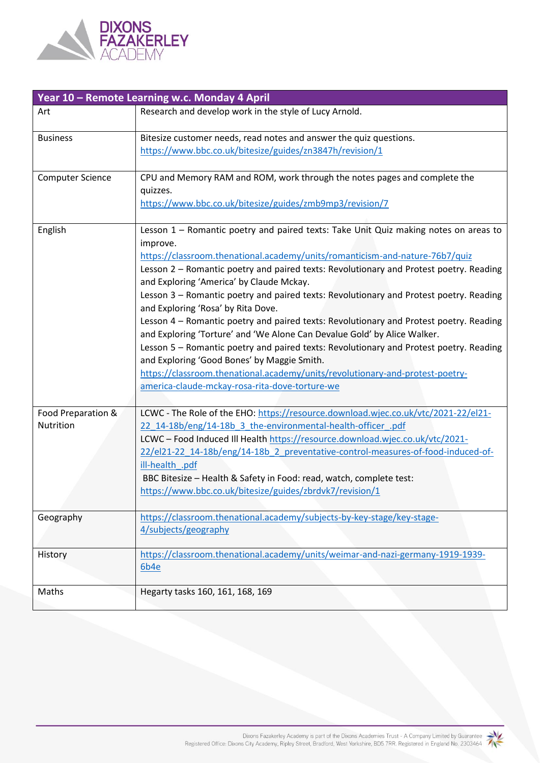

| Year 10 - Remote Learning w.c. Monday 4 April |                                                                                                                                                                                                                                                                                                                                                                                                                                                                                                                                                                                                                                                                                                                                                                                                                                                                                                          |  |  |
|-----------------------------------------------|----------------------------------------------------------------------------------------------------------------------------------------------------------------------------------------------------------------------------------------------------------------------------------------------------------------------------------------------------------------------------------------------------------------------------------------------------------------------------------------------------------------------------------------------------------------------------------------------------------------------------------------------------------------------------------------------------------------------------------------------------------------------------------------------------------------------------------------------------------------------------------------------------------|--|--|
| Art                                           | Research and develop work in the style of Lucy Arnold.                                                                                                                                                                                                                                                                                                                                                                                                                                                                                                                                                                                                                                                                                                                                                                                                                                                   |  |  |
| <b>Business</b>                               | Bitesize customer needs, read notes and answer the quiz questions.<br>https://www.bbc.co.uk/bitesize/guides/zn3847h/revision/1                                                                                                                                                                                                                                                                                                                                                                                                                                                                                                                                                                                                                                                                                                                                                                           |  |  |
| <b>Computer Science</b>                       | CPU and Memory RAM and ROM, work through the notes pages and complete the<br>quizzes.<br>https://www.bbc.co.uk/bitesize/guides/zmb9mp3/revision/7                                                                                                                                                                                                                                                                                                                                                                                                                                                                                                                                                                                                                                                                                                                                                        |  |  |
| English                                       | Lesson 1 - Romantic poetry and paired texts: Take Unit Quiz making notes on areas to<br>improve.<br>https://classroom.thenational.academy/units/romanticism-and-nature-76b7/quiz<br>Lesson 2 - Romantic poetry and paired texts: Revolutionary and Protest poetry. Reading<br>and Exploring 'America' by Claude Mckay.<br>Lesson 3 - Romantic poetry and paired texts: Revolutionary and Protest poetry. Reading<br>and Exploring 'Rosa' by Rita Dove.<br>Lesson 4 - Romantic poetry and paired texts: Revolutionary and Protest poetry. Reading<br>and Exploring 'Torture' and 'We Alone Can Devalue Gold' by Alice Walker.<br>Lesson 5 - Romantic poetry and paired texts: Revolutionary and Protest poetry. Reading<br>and Exploring 'Good Bones' by Maggie Smith.<br>https://classroom.thenational.academy/units/revolutionary-and-protest-poetry-<br>america-claude-mckay-rosa-rita-dove-torture-we |  |  |
| Food Preparation &<br>Nutrition               | LCWC - The Role of the EHO: https://resource.download.wjec.co.uk/vtc/2021-22/el21-<br>22_14-18b/eng/14-18b_3_the-environmental-health-officer .pdf<br>LCWC - Food Induced III Health https://resource.download.wjec.co.uk/vtc/2021-<br>22/el21-22 14-18b/eng/14-18b 2 preventative-control-measures-of-food-induced-of-<br>ill-health .pdf<br>BBC Bitesize - Health & Safety in Food: read, watch, complete test:<br>https://www.bbc.co.uk/bitesize/guides/zbrdvk7/revision/1                                                                                                                                                                                                                                                                                                                                                                                                                            |  |  |
| Geography                                     | https://classroom.thenational.academy/subjects-by-key-stage/key-stage-<br>4/subjects/geography                                                                                                                                                                                                                                                                                                                                                                                                                                                                                                                                                                                                                                                                                                                                                                                                           |  |  |
| History                                       | https://classroom.thenational.academy/units/weimar-and-nazi-germany-1919-1939-<br>6b4e                                                                                                                                                                                                                                                                                                                                                                                                                                                                                                                                                                                                                                                                                                                                                                                                                   |  |  |
| Maths                                         | Hegarty tasks 160, 161, 168, 169                                                                                                                                                                                                                                                                                                                                                                                                                                                                                                                                                                                                                                                                                                                                                                                                                                                                         |  |  |